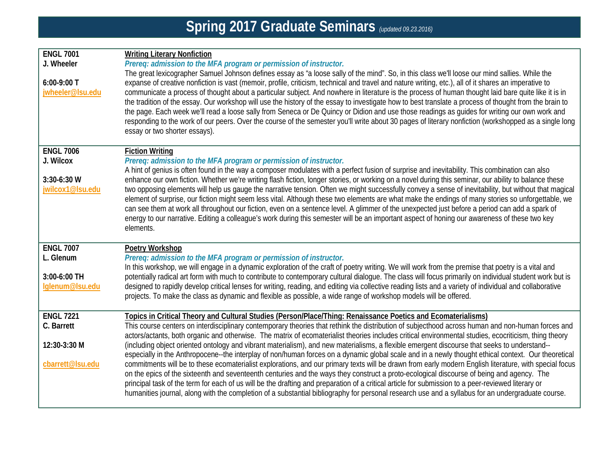| <b>ENGL 7001</b><br>J. Wheeler<br>$6:00-9:00$ T<br>jwheeler@Isu.edu | <b>Writing Literary Nonfiction</b><br>Prereq: admission to the MFA program or permission of instructor.<br>The great lexicographer Samuel Johnson defines essay as "a loose sally of the mind". So, in this class we'll loose our mind sallies. While the<br>expanse of creative nonfiction is vast (memoir, profile, criticism, technical and travel and nature writing, etc.), all of it shares an imperative to<br>communicate a process of thought about a particular subject. And nowhere in literature is the process of human thought laid bare quite like it is in<br>the tradition of the essay. Our workshop will use the history of the essay to investigate how to best translate a process of thought from the brain to<br>the page. Each week we'll read a loose sally from Seneca or De Quincy or Didion and use those readings as guides for writing our own work and<br>responding to the work of our peers. Over the course of the semester you'll write about 30 pages of literary nonfiction (workshopped as a single long<br>essay or two shorter essays).                                                                                                                                                                                                                                                                     |
|---------------------------------------------------------------------|-----------------------------------------------------------------------------------------------------------------------------------------------------------------------------------------------------------------------------------------------------------------------------------------------------------------------------------------------------------------------------------------------------------------------------------------------------------------------------------------------------------------------------------------------------------------------------------------------------------------------------------------------------------------------------------------------------------------------------------------------------------------------------------------------------------------------------------------------------------------------------------------------------------------------------------------------------------------------------------------------------------------------------------------------------------------------------------------------------------------------------------------------------------------------------------------------------------------------------------------------------------------------------------------------------------------------------------------------------|
| <b>ENGL 7006</b><br>J. Wilcox<br>$3:30-6:30$ W<br>jwilcox1@lsu.edu  | <b>Fiction Writing</b><br>Prereq: admission to the MFA program or permission of instructor.<br>A hint of genius is often found in the way a composer modulates with a perfect fusion of surprise and inevitability. This combination can also<br>enhance our own fiction. Whether we're writing flash fiction, longer stories, or working on a novel during this seminar, our ability to balance these<br>two opposing elements will help us gauge the narrative tension. Often we might successfully convey a sense of inevitability, but without that magical<br>element of surprise, our fiction might seem less vital. Although these two elements are what make the endings of many stories so unforgettable, we<br>can see them at work all throughout our fiction, even on a sentence level. A glimmer of the unexpected just before a period can add a spark of<br>energy to our narrative. Editing a colleague's work during this semester will be an important aspect of honing our awareness of these two key<br>elements.                                                                                                                                                                                                                                                                                                               |
| <b>ENGL 7007</b><br>L. Glenum<br>3:00-6:00 TH<br>lglenum@lsu.edu    | <b>Poetry Workshop</b><br>Prereq: admission to the MFA program or permission of instructor.<br>In this workshop, we will engage in a dynamic exploration of the craft of poetry writing. We will work from the premise that poetry is a vital and<br>potentially radical art form with much to contribute to contemporary cultural dialogue. The class will focus primarily on individual student work but is<br>designed to rapidly develop critical lenses for writing, reading, and editing via collective reading lists and a variety of individual and collaborative<br>projects. To make the class as dynamic and flexible as possible, a wide range of workshop models will be offered.                                                                                                                                                                                                                                                                                                                                                                                                                                                                                                                                                                                                                                                      |
| <b>ENGL 7221</b><br>C. Barrett<br>12:30-3:30 M<br>cbarrett@Isu.edu  | Topics in Critical Theory and Cultural Studies (Person/Place/Thing: Renaissance Poetics and Ecomaterialisms)<br>This course centers on interdisciplinary contemporary theories that rethink the distribution of subjecthood across human and non-human forces and<br>actors/actants, both organic and otherwise. The matrix of ecomaterialist theories includes critical environmental studies, ecocriticism, thing theory<br>(including object oriented ontology and vibrant materialism), and new materialisms, a flexible emergent discourse that seeks to understand--<br>especially in the Anthropocene--the interplay of non/human forces on a dynamic global scale and in a newly thought ethical context. Our theoretical<br>commitments will be to these ecomaterialist explorations, and our primary texts will be drawn from early modern English literature, with special focus<br>on the epics of the sixteenth and seventeenth centuries and the ways they construct a proto-ecological discourse of being and agency. The<br>principal task of the term for each of us will be the drafting and preparation of a critical article for submission to a peer-reviewed literary or<br>humanities journal, along with the completion of a substantial bibliography for personal research use and a syllabus for an undergraduate course. |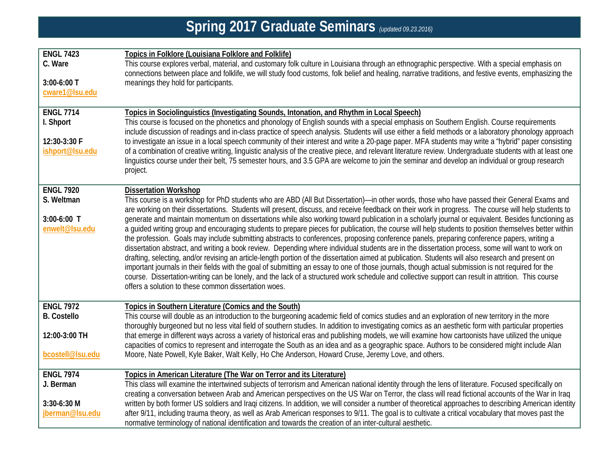| Spring 2017 Graduate Seminars (updated 09.23.2016) |                                                                                                                                                                                                                                                                                                                                                                                                                                                                                                                                                                                                                                                                                                                                                                                                                                                                                                                                                                                                                                                                                                                                                                                                                                                                                                  |  |
|----------------------------------------------------|--------------------------------------------------------------------------------------------------------------------------------------------------------------------------------------------------------------------------------------------------------------------------------------------------------------------------------------------------------------------------------------------------------------------------------------------------------------------------------------------------------------------------------------------------------------------------------------------------------------------------------------------------------------------------------------------------------------------------------------------------------------------------------------------------------------------------------------------------------------------------------------------------------------------------------------------------------------------------------------------------------------------------------------------------------------------------------------------------------------------------------------------------------------------------------------------------------------------------------------------------------------------------------------------------|--|
|                                                    |                                                                                                                                                                                                                                                                                                                                                                                                                                                                                                                                                                                                                                                                                                                                                                                                                                                                                                                                                                                                                                                                                                                                                                                                                                                                                                  |  |
| <b>ENGL 7423</b><br>C. Ware                        | Topics in Folklore (Louisiana Folklore and Folklife)<br>This course explores verbal, material, and customary folk culture in Louisiana through an ethnographic perspective. With a special emphasis on<br>connections between place and folklife, we will study food customs, folk belief and healing, narrative traditions, and festive events, emphasizing the                                                                                                                                                                                                                                                                                                                                                                                                                                                                                                                                                                                                                                                                                                                                                                                                                                                                                                                                 |  |
| 3:00-6:00 T<br>cware1@Isu.edu                      | meanings they hold for participants.                                                                                                                                                                                                                                                                                                                                                                                                                                                                                                                                                                                                                                                                                                                                                                                                                                                                                                                                                                                                                                                                                                                                                                                                                                                             |  |
| <b>ENGL 7714</b><br>I. Shport                      | Topics in Sociolinguistics (Investigating Sounds, Intonation, and Rhythm in Local Speech)<br>This course is focused on the phonetics and phonology of English sounds with a special emphasis on Southern English. Course requirements                                                                                                                                                                                                                                                                                                                                                                                                                                                                                                                                                                                                                                                                                                                                                                                                                                                                                                                                                                                                                                                            |  |
| 12:30-3:30 F<br>ishport@Isu.edu                    | include discussion of readings and in-class practice of speech analysis. Students will use either a field methods or a laboratory phonology approach<br>to investigate an issue in a local speech community of their interest and write a 20-page paper. MFA students may write a "hybrid" paper consisting<br>of a combination of creative writing, linguistic analysis of the creative piece, and relevant literature review. Undergraduate students with at least one<br>linguistics course under their belt, 75 semester hours, and 3.5 GPA are welcome to join the seminar and develop an individual or group research<br>project.                                                                                                                                                                                                                                                                                                                                                                                                                                                                                                                                                                                                                                                          |  |
| <b>ENGL 7920</b><br>S. Weltman                     | <b>Dissertation Workshop</b><br>This course is a workshop for PhD students who are ABD (All But Dissertation)—in other words, those who have passed their General Exams and                                                                                                                                                                                                                                                                                                                                                                                                                                                                                                                                                                                                                                                                                                                                                                                                                                                                                                                                                                                                                                                                                                                      |  |
| 3:00-6:00 T<br>enwelt@Isu.edu                      | are working on their dissertations. Students will present, discuss, and receive feedback on their work in progress. The course will help students to<br>generate and maintain momentum on dissertations while also working toward publication in a scholarly journal or equivalent. Besides functioning as<br>a guided writing group and encouraging students to prepare pieces for publication, the course will help students to position themselves better within<br>the profession. Goals may include submitting abstracts to conferences, proposing conference panels, preparing conference papers, writing a<br>dissertation abstract, and writing a book review. Depending where individual students are in the dissertation process, some will want to work on<br>drafting, selecting, and/or revising an article-length portion of the dissertation aimed at publication. Students will also research and present on<br>important journals in their fields with the goal of submitting an essay to one of those journals, though actual submission is not required for the<br>course. Dissertation-writing can be lonely, and the lack of a structured work schedule and collective support can result in attrition. This course<br>offers a solution to these common dissertation woes. |  |
| <b>ENGL 7972</b>                                   | Topics in Southern Literature (Comics and the South)                                                                                                                                                                                                                                                                                                                                                                                                                                                                                                                                                                                                                                                                                                                                                                                                                                                                                                                                                                                                                                                                                                                                                                                                                                             |  |
| <b>B.</b> Costello                                 | This course will double as an introduction to the burgeoning academic field of comics studies and an exploration of new territory in the more<br>thoroughly burgeoned but no less vital field of southern studies. In addition to investigating comics as an aesthetic form with particular properties                                                                                                                                                                                                                                                                                                                                                                                                                                                                                                                                                                                                                                                                                                                                                                                                                                                                                                                                                                                           |  |
| 12:00-3:00 TH                                      | that emerge in different ways across a variety of historical eras and publishing models, we will examine how cartoonists have utilized the unique<br>capacities of comics to represent and interrogate the South as an idea and as a geographic space. Authors to be considered might include Alan                                                                                                                                                                                                                                                                                                                                                                                                                                                                                                                                                                                                                                                                                                                                                                                                                                                                                                                                                                                               |  |
| bcostell@Isu.edu                                   | Moore, Nate Powell, Kyle Baker, Walt Kelly, Ho Che Anderson, Howard Cruse, Jeremy Love, and others.                                                                                                                                                                                                                                                                                                                                                                                                                                                                                                                                                                                                                                                                                                                                                                                                                                                                                                                                                                                                                                                                                                                                                                                              |  |
| <b>ENGL 7974</b>                                   | Topics in American Literature (The War on Terror and its Literature)                                                                                                                                                                                                                                                                                                                                                                                                                                                                                                                                                                                                                                                                                                                                                                                                                                                                                                                                                                                                                                                                                                                                                                                                                             |  |
| J. Berman                                          | This class will examine the intertwined subjects of terrorism and American national identity through the lens of literature. Focused specifically on<br>creating a conversation between Arab and American perspectives on the US War on Terror, the class will read fictional accounts of the War in Iraq                                                                                                                                                                                                                                                                                                                                                                                                                                                                                                                                                                                                                                                                                                                                                                                                                                                                                                                                                                                        |  |
| $3:30-6:30$ M                                      | written by both former US soldiers and Iraqi citizens. In addition, we will consider a number of theoretical approaches to describing American identity                                                                                                                                                                                                                                                                                                                                                                                                                                                                                                                                                                                                                                                                                                                                                                                                                                                                                                                                                                                                                                                                                                                                          |  |
| jberman@lsu.edu                                    | after 9/11, including trauma theory, as well as Arab American responses to 9/11. The goal is to cultivate a critical vocabulary that moves past the<br>normative terminology of national identification and towards the creation of an inter-cultural aesthetic.                                                                                                                                                                                                                                                                                                                                                                                                                                                                                                                                                                                                                                                                                                                                                                                                                                                                                                                                                                                                                                 |  |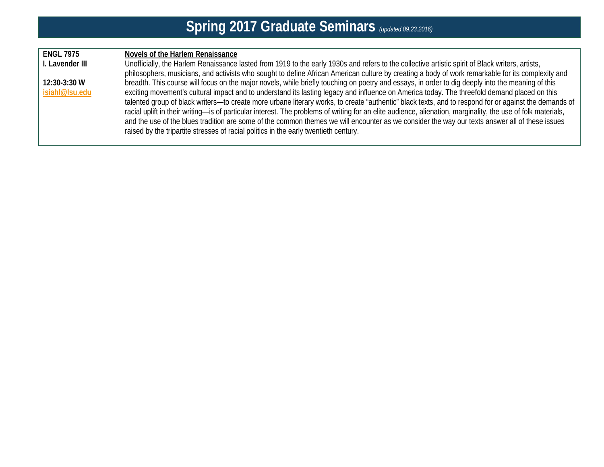## **Spring 2017 Graduate Seminars** *(updated 09.23.2016)*

| <b>ENGL 7975</b> | Novels of the Harlem Renaissance                                                                                                                             |
|------------------|--------------------------------------------------------------------------------------------------------------------------------------------------------------|
| I. Lavender III  | Unofficially, the Harlem Renaissance lasted from 1919 to the early 1930s and refers to the collective artistic spirit of Black writers, artists,             |
|                  | philosophers, musicians, and activists who sought to define African American culture by creating a body of work remarkable for its complexity and            |
| $12:30-3:30$ W   | breadth. This course will focus on the major novels, while briefly touching on poetry and essays, in order to dig deeply into the meaning of this            |
| isiahl@lsu.edu   | exciting movement's cultural impact and to understand its lasting legacy and influence on America today. The threefold demand placed on this                 |
|                  | talented group of black writers-to create more urbane literary works, to create "authentic" black texts, and to respond for or against the demands of        |
|                  | racial uplift in their writing—is of particular interest. The problems of writing for an elite audience, alienation, marginality, the use of folk materials, |
|                  | and the use of the blues tradition are some of the common themes we will encounter as we consider the way our texts answer all of these issues               |
|                  | raised by the tripartite stresses of racial politics in the early twentieth century.                                                                         |
|                  |                                                                                                                                                              |